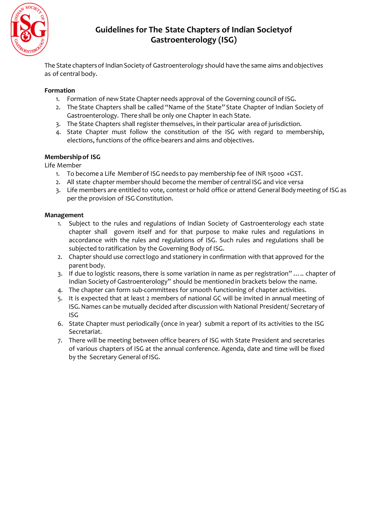

# **Guidelines for The State Chapters of Indian Societyof Gastroenterology (ISG)**

The State chapters of Indian Society of Gastroenterology should have the same aims and objectives as of central body.

### **Formation**

- 1. Formation of new State Chapter needs approval of the Governing council of ISG.
- 2. The State Chapters shall be called "Name of the State" State Chapter of Indian Society of Gastroenterology. There shall be only one Chapter in each State.
- 3. The State Chapters shall register themselves, in their particular area of jurisdiction.
- 4. State Chapter must follow the constitution of the ISG with regard to membership, elections, functions of the office-bearers and aims and objectives.

## **Membershipof ISG**

Life Member

- 1. To become a Life Memberof ISG needs to pay membership fee of INR 15000 +GST.
- 2. All state chapter membershould become the member of central ISG and vice versa
- 3. Life members are entitled to vote, contest or hold office or attend General Body meeting of ISG as perthe provision of ISG Constitution.

### **Management**

- 1. Subject to the rules and regulations of Indian Society of Gastroenterology each state chapter shall govern itself and for that purpose to make rules and regulations in accordance with the rules and regulations of ISG. Such rules and regulations shall be subjected to ratification by the Governing Body of ISG.
- 2. Chapter should use correctlogo and stationery in confirmation with that approved for the parent body.
- 3. If due to logistic reasons, there is some variation in name as per registration" ….. chapter of Indian Societyof Gastroenterology" should be mentionedin brackets below the name.
- 4. The chapter can form sub-committees for smooth functioning of chapter activities.
- 5. It is expected that at least 2 members of national GC will be invited in annual meeting of ISG.Names can be mutually decided after discussion with National President/ Secretary of ISG
- 6. State Chapter must periodically (once in year) submit a report of its activities to the ISG Secretariat.
- 7. There will be meeting between office bearers of ISG with State President and secretaries of various chapters of ISG at the annual conference. Agenda, date and time will be fixed by the Secretary General of ISG.